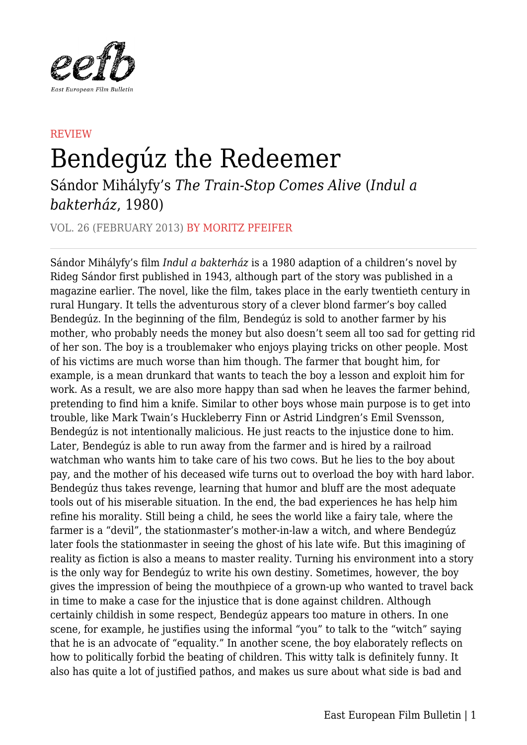

## REVIEW Bendegúz the Redeemer

Sándor Mihályfy's *The Train-Stop Comes Alive* (*Indul a bakterház*, 1980)

VOL. 26 (FEBRUARY 2013) BY MORITZ PFEIFER

Sándor Mihályfy's film *Indul a bakterház* is a 1980 adaption of a children's novel by Rideg Sándor first published in 1943, although part of the story was published in a magazine earlier. The novel, like the film, takes place in the early twentieth century in rural Hungary. It tells the adventurous story of a clever blond farmer's boy called Bendegúz. In the beginning of the film, Bendegúz is sold to another farmer by his mother, who probably needs the money but also doesn't seem all too sad for getting rid of her son. The boy is a troublemaker who enjoys playing tricks on other people. Most of his victims are much worse than him though. The farmer that bought him, for example, is a mean drunkard that wants to teach the boy a lesson and exploit him for work. As a result, we are also more happy than sad when he leaves the farmer behind, pretending to find him a knife. Similar to other boys whose main purpose is to get into trouble, like Mark Twain's Huckleberry Finn or Astrid Lindgren's Emil Svensson, Bendegúz is not intentionally malicious. He just reacts to the injustice done to him. Later, Bendegúz is able to run away from the farmer and is hired by a railroad watchman who wants him to take care of his two cows. But he lies to the boy about pay, and the mother of his deceased wife turns out to overload the boy with hard labor. Bendegúz thus takes revenge, learning that humor and bluff are the most adequate tools out of his miserable situation. In the end, the bad experiences he has help him refine his morality. Still being a child, he sees the world like a fairy tale, where the farmer is a "devil", the stationmaster's mother-in-law a witch, and where Bendegúz later fools the stationmaster in seeing the ghost of his late wife. But this imagining of reality as fiction is also a means to master reality. Turning his environment into a story is the only way for Bendegúz to write his own destiny. Sometimes, however, the boy gives the impression of being the mouthpiece of a grown-up who wanted to travel back in time to make a case for the injustice that is done against children. Although certainly childish in some respect, Bendegúz appears too mature in others. In one scene, for example, he justifies using the informal "you" to talk to the "witch" saying that he is an advocate of "equality." In another scene, the boy elaborately reflects on how to politically forbid the beating of children. This witty talk is definitely funny. It also has quite a lot of justified pathos, and makes us sure about what side is bad and